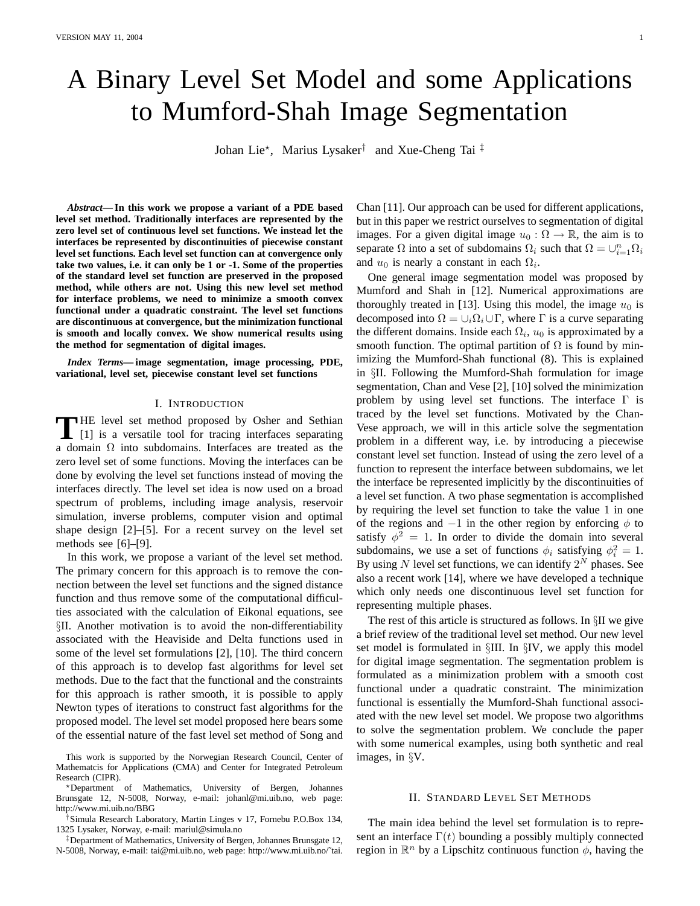# A Binary Level Set Model and some Applications to Mumford-Shah Image Segmentation

Johan Lie\*, Marius Lysaker<sup>†</sup> and Xue-Cheng Tai<sup>‡</sup>

*Abstract***— In this work we propose a variant of a PDE based level set method. Traditionally interfaces are represented by the zero level set of continuous level set functions. We instead let the interfaces be represented by discontinuities of piecewise constant level set functions. Each level set function can at convergence only take two values, i.e. it can only be 1 or -1. Some of the properties of the standard level set function are preserved in the proposed method, while others are not. Using this new level set method for interface problems, we need to minimize a smooth convex functional under a quadratic constraint. The level set functions are discontinuous at convergence, but the minimization functional is smooth and locally convex. We show numerical results using the method for segmentation of digital images.**

*Index Terms***— image segmentation, image processing, PDE, variational, level set, piecewise constant level set functions**

### I. INTRODUCTION

THE level set method proposed by Osher and Sethian<br>
[1] is a versatile tool for tracing interfaces separating [1] is a versatile tool for tracing interfaces separating a domain  $\Omega$  into subdomains. Interfaces are treated as the zero level set of some functions. Moving the interfaces can be done by evolving the level set functions instead of moving the interfaces directly. The level set idea is now used on a broad spectrum of problems, including image analysis, reservoir simulation, inverse problems, computer vision and optimal shape design [2]–[5]. For a recent survey on the level set methods see [6]–[9].

In this work, we propose a variant of the level set method. The primary concern for this approach is to remove the connection between the level set functions and the signed distance function and thus remove some of the computational difficulties associated with the calculation of Eikonal equations, see §II. Another motivation is to avoid the non-differentiability associated with the Heaviside and Delta functions used in some of the level set formulations [2], [10]. The third concern of this approach is to develop fast algorithms for level set methods. Due to the fact that the functional and the constraints for this approach is rather smooth, it is possible to apply Newton types of iterations to construct fast algorithms for the proposed model. The level set model proposed here bears some of the essential nature of the fast level set method of Song and

This work is supported by the Norwegian Research Council, Center of Mathematcis for Applications (CMA) and Center for Integrated Petroleum Research (CIPR).

?Department of Mathematics, University of Bergen, Johannes Brunsgate 12, N-5008, Norway, e-mail: johanl@mi.uib.no, web page: http://www.mi.uib.no/BBG

†Simula Research Laboratory, Martin Linges v 17, Fornebu P.O.Box 134, 1325 Lysaker, Norway, e-mail: mariul@simula.no

‡Department of Mathematics, University of Bergen, Johannes Brunsgate 12, N-5008, Norway, e-mail: tai@mi.uib.no, web page: http://www.mi.uib.no/˜tai. Chan [11]. Our approach can be used for different applications, but in this paper we restrict ourselves to segmentation of digital images. For a given digital image  $u_0 : \Omega \to \mathbb{R}$ , the aim is to separate  $\Omega$  into a set of subdomains  $\Omega_i$  such that  $\Omega = \bigcup_{i=1}^n \Omega_i$ and  $u_0$  is nearly a constant in each  $\Omega_i$ .

One general image segmentation model was proposed by Mumford and Shah in [12]. Numerical approximations are thoroughly treated in [13]. Using this model, the image  $u_0$  is decomposed into  $\Omega = \bigcup_i \Omega_i \cup \Gamma$ , where  $\Gamma$  is a curve separating the different domains. Inside each  $\Omega_i$ ,  $u_0$  is approximated by a smooth function. The optimal partition of  $\Omega$  is found by minimizing the Mumford-Shah functional (8). This is explained in §II. Following the Mumford-Shah formulation for image segmentation, Chan and Vese [2], [10] solved the minimization problem by using level set functions. The interface  $\Gamma$  is traced by the level set functions. Motivated by the Chan-Vese approach, we will in this article solve the segmentation problem in a different way, i.e. by introducing a piecewise constant level set function. Instead of using the zero level of a function to represent the interface between subdomains, we let the interface be represented implicitly by the discontinuities of a level set function. A two phase segmentation is accomplished by requiring the level set function to take the value 1 in one of the regions and  $-1$  in the other region by enforcing  $\phi$  to satisfy  $\phi^2 = 1$ . In order to divide the domain into several subdomains, we use a set of functions  $\phi_i$  satisfying  $\phi_i^2 = 1$ . By using N level set functions, we can identify  $2^N$  phases. See also a recent work [14], where we have developed a technique which only needs one discontinuous level set function for representing multiple phases.

The rest of this article is structured as follows. In §II we give a brief review of the traditional level set method. Our new level set model is formulated in §III. In §IV, we apply this model for digital image segmentation. The segmentation problem is formulated as a minimization problem with a smooth cost functional under a quadratic constraint. The minimization functional is essentially the Mumford-Shah functional associated with the new level set model. We propose two algorithms to solve the segmentation problem. We conclude the paper with some numerical examples, using both synthetic and real images, in §V.

### II. STANDARD LEVEL SET METHODS

The main idea behind the level set formulation is to represent an interface  $\Gamma(t)$  bounding a possibly multiply connected region in  $\mathbb{R}^n$  by a Lipschitz continuous function  $\phi$ , having the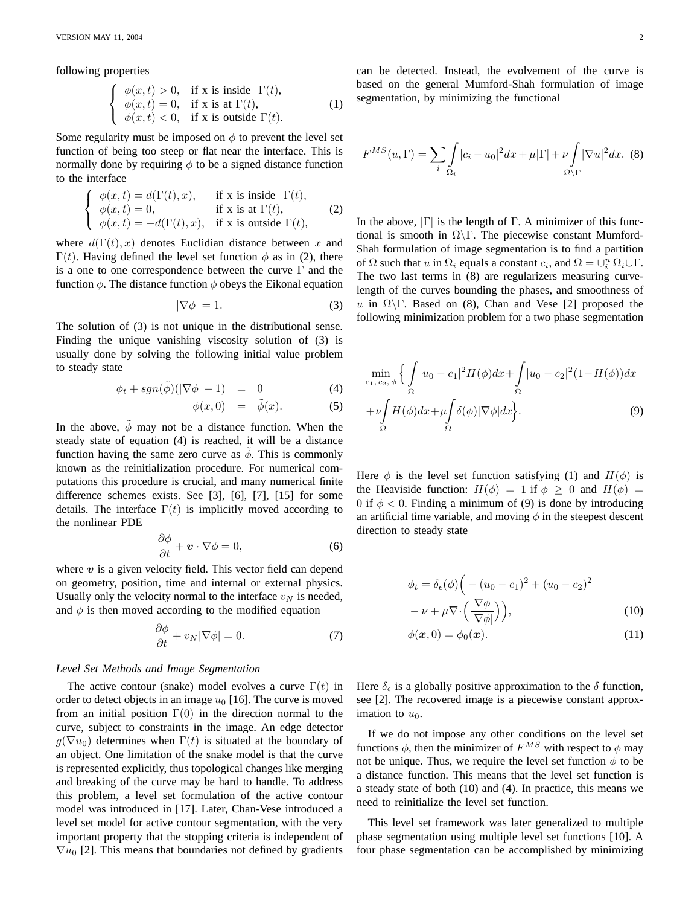following properties

$$
\begin{cases}\n\phi(x,t) > 0, & \text{if } x \text{ is inside } \Gamma(t), \\
\phi(x,t) = 0, & \text{if } x \text{ is at } \Gamma(t), \\
\phi(x,t) < 0, & \text{if } x \text{ is outside } \Gamma(t).\n\end{cases}
$$
\n(1)

Some regularity must be imposed on  $\phi$  to prevent the level set function of being too steep or flat near the interface. This is normally done by requiring  $\phi$  to be a signed distance function to the interface

$$
\begin{cases}\n\phi(x,t) = d(\Gamma(t),x), & \text{if } x \text{ is inside } \Gamma(t), \\
\phi(x,t) = 0, & \text{if } x \text{ is at } \Gamma(t), \\
\phi(x,t) = -d(\Gamma(t),x), & \text{if } x \text{ is outside } \Gamma(t),\n\end{cases}
$$
\n(2)

where  $d(\Gamma(t), x)$  denotes Euclidian distance between x and  $\Gamma(t)$ . Having defined the level set function  $\phi$  as in (2), there is a one to one correspondence between the curve Γ and the function  $\phi$ . The distance function  $\phi$  obeys the Eikonal equation

$$
|\nabla \phi| = 1. \tag{3}
$$

The solution of (3) is not unique in the distributional sense. Finding the unique vanishing viscosity solution of (3) is usually done by solving the following initial value problem to steady state

$$
\phi_t + sgn(\tilde{\phi})(|\nabla \phi| - 1) = 0 \tag{4}
$$

$$
\phi(x,0) = \tilde{\phi}(x). \tag{5}
$$

In the above,  $\phi$  may not be a distance function. When the steady state of equation (4) is reached, it will be a distance function having the same zero curve as  $\phi$ . This is commonly known as the reinitialization procedure. For numerical computations this procedure is crucial, and many numerical finite difference schemes exists. See [3], [6], [7], [15] for some details. The interface  $\Gamma(t)$  is implicitly moved according to the nonlinear PDE

$$
\frac{\partial \phi}{\partial t} + \mathbf{v} \cdot \nabla \phi = 0, \tag{6}
$$

where  $v$  is a given velocity field. This vector field can depend on geometry, position, time and internal or external physics. Usually only the velocity normal to the interface  $v<sub>N</sub>$  is needed, and  $\phi$  is then moved according to the modified equation

$$
\frac{\partial \phi}{\partial t} + v_N |\nabla \phi| = 0. \tag{7}
$$

### *Level Set Methods and Image Segmentation*

The active contour (snake) model evolves a curve  $\Gamma(t)$  in order to detect objects in an image  $u_0$  [16]. The curve is moved from an initial position  $\Gamma(0)$  in the direction normal to the curve, subject to constraints in the image. An edge detector  $g(\nabla u_0)$  determines when  $\Gamma(t)$  is situated at the boundary of an object. One limitation of the snake model is that the curve is represented explicitly, thus topological changes like merging and breaking of the curve may be hard to handle. To address this problem, a level set formulation of the active contour model was introduced in [17]. Later, Chan-Vese introduced a level set model for active contour segmentation, with the very important property that the stopping criteria is independent of  $\nabla u_0$  [2]. This means that boundaries not defined by gradients can be detected. Instead, the evolvement of the curve is based on the general Mumford-Shah formulation of image segmentation, by minimizing the functional

$$
F^{MS}(u,\Gamma) = \sum_{i} \int_{\Omega_i} |c_i - u_0|^2 dx + \mu |\Gamma| + \nu \int_{\Omega \setminus \Gamma} |\nabla u|^2 dx. \tag{8}
$$

In the above,  $|\Gamma|$  is the length of  $\Gamma$ . A minimizer of this functional is smooth in  $\Omega \backslash \Gamma$ . The piecewise constant Mumford-Shah formulation of image segmentation is to find a partition of  $\Omega$  such that u in  $\Omega_i$  equals a constant  $c_i$ , and  $\Omega = \bigcup_i^n \Omega_i \cup \Gamma$ . The two last terms in (8) are regularizers measuring curvelength of the curves bounding the phases, and smoothness of u in  $\Omega \backslash \Gamma$ . Based on (8), Chan and Vese [2] proposed the following minimization problem for a two phase segmentation

$$
\min_{c_1, c_2, \phi} \left\{ \int_{\Omega} |u_0 - c_1|^2 H(\phi) dx + \int_{\Omega} |u_0 - c_2|^2 (1 - H(\phi)) dx \right. \left. + \nu \int_{\Omega} H(\phi) dx + \mu \int_{\Omega} \delta(\phi) |\nabla \phi| dx \right\}.
$$
\n(9)

Here  $\phi$  is the level set function satisfying (1) and  $H(\phi)$  is the Heaviside function:  $H(\phi) = 1$  if  $\phi \geq 0$  and  $H(\phi) =$ 0 if  $\phi$  < 0. Finding a minimum of (9) is done by introducing an artificial time variable, and moving  $\phi$  in the steepest descent direction to steady state

$$
\phi_t = \delta_\epsilon(\phi) \Big( - (u_0 - c_1)^2 + (u_0 - c_2)^2
$$

$$
- \nu + \mu \nabla \cdot \Big( \frac{\nabla \phi}{|\nabla \phi|} \Big) \Big), \tag{10}
$$

$$
\phi(\boldsymbol{x},0) = \phi_0(\boldsymbol{x}).\tag{11}
$$

Here  $\delta_{\epsilon}$  is a globally positive approximation to the  $\delta$  function, see [2]. The recovered image is a piecewise constant approximation to  $u_0$ .

If we do not impose any other conditions on the level set functions  $\phi$ , then the minimizer of  $F^{MS}$  with respect to  $\phi$  may not be unique. Thus, we require the level set function  $\phi$  to be a distance function. This means that the level set function is a steady state of both (10) and (4). In practice, this means we need to reinitialize the level set function.

This level set framework was later generalized to multiple phase segmentation using multiple level set functions [10]. A four phase segmentation can be accomplished by minimizing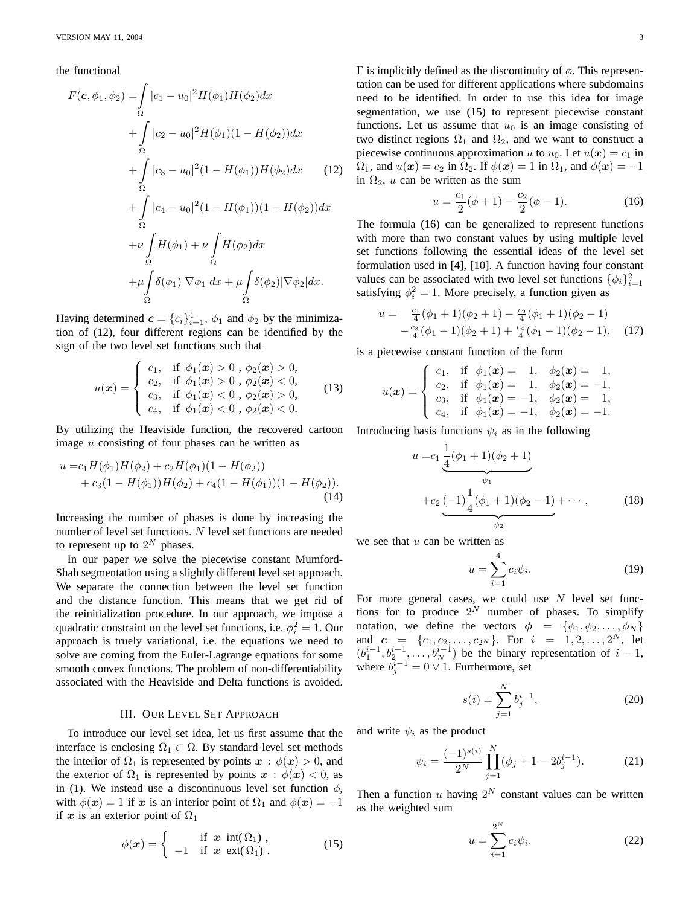the functional

$$
F(c, \phi_1, \phi_2) = \int_{\Omega} |c_1 - u_0|^2 H(\phi_1) H(\phi_2) dx + \int_{\Omega} |c_2 - u_0|^2 H(\phi_1) (1 - H(\phi_2)) dx + \int_{\Omega} |c_3 - u_0|^2 (1 - H(\phi_1)) H(\phi_2) dx \qquad (12) + \int_{\Omega} |c_4 - u_0|^2 (1 - H(\phi_1)) (1 - H(\phi_2)) dx + \nu \int_{\Omega} H(\phi_1) + \nu \int_{\Omega} H(\phi_2) dx + \mu \int_{\Omega} \delta(\phi_1) |\nabla \phi_1| dx + \mu \int_{\Omega} \delta(\phi_2) |\nabla \phi_2| dx.
$$

Having determined  $\mathbf{c} = \{c_i\}_{i=1}^4$ ,  $\phi_1$  and  $\phi_2$  by the minimization of (12), four different regions can be identified by the sign of the two level set functions such that

$$
u(\boldsymbol{x}) = \begin{cases} c_1, & \text{if } \phi_1(\boldsymbol{x}) > 0, \ \phi_2(\boldsymbol{x}) > 0, \\ c_2, & \text{if } \phi_1(\boldsymbol{x}) > 0, \ \phi_2(\boldsymbol{x}) < 0, \\ c_3, & \text{if } \phi_1(\boldsymbol{x}) < 0, \ \phi_2(\boldsymbol{x}) > 0, \\ c_4, & \text{if } \phi_1(\boldsymbol{x}) < 0, \ \phi_2(\boldsymbol{x}) < 0. \end{cases}
$$
(13)

By utilizing the Heaviside function, the recovered cartoon image u consisting of four phases can be written as

$$
u = c_1 H(\phi_1) H(\phi_2) + c_2 H(\phi_1) (1 - H(\phi_2)) + c_3 (1 - H(\phi_1)) H(\phi_2) + c_4 (1 - H(\phi_1)) (1 - H(\phi_2)).
$$
\n(14)

Increasing the number of phases is done by increasing the number of level set functions. N level set functions are needed to represent up to  $2^N$  phases.

In our paper we solve the piecewise constant Mumford-Shah segmentation using a slightly different level set approach. We separate the connection between the level set function and the distance function. This means that we get rid of the reinitialization procedure. In our approach, we impose a quadratic constraint on the level set functions, i.e.  $\phi_i^2 = 1$ . Our approach is truely variational, i.e. the equations we need to solve are coming from the Euler-Lagrange equations for some smooth convex functions. The problem of non-differentiability associated with the Heaviside and Delta functions is avoided.

# III. OUR LEVEL SET APPROACH

To introduce our level set idea, let us first assume that the interface is enclosing  $\Omega_1 \subset \Omega$ . By standard level set methods the interior of  $\Omega_1$  is represented by points  $x : \phi(x) > 0$ , and the exterior of  $\Omega_1$  is represented by points  $x : \phi(x) < 0$ , as in (1). We instead use a discontinuous level set function  $\phi$ , with  $\phi(x) = 1$  if x is an interior point of  $\Omega_1$  and  $\phi(x) = -1$ if x is an exterior point of  $\Omega_1$ 

$$
\phi(\boldsymbol{x}) = \begin{cases}\n\text{if } \boldsymbol{x} \text{ int}(\Omega_1), \\
-1 \text{ if } \boldsymbol{x} \text{ ext}(\Omega_1).\n\end{cases}
$$
\n(15)

 $Γ$  is implicitly defined as the discontinuity of  $φ$ . This representation can be used for different applications where subdomains need to be identified. In order to use this idea for image segmentation, we use (15) to represent piecewise constant functions. Let us assume that  $u_0$  is an image consisting of two distinct regions  $\Omega_1$  and  $\Omega_2$ , and we want to construct a piecewise continuous approximation u to  $u_0$ . Let  $u(x) = c_1$  in  $\Omega_1$ , and  $u(x) = c_2$  in  $\Omega_2$ . If  $\phi(x) = 1$  in  $\Omega_1$ , and  $\phi(x) = -1$ in  $\Omega_2$ , u can be written as the sum

$$
u = \frac{c_1}{2}(\phi + 1) - \frac{c_2}{2}(\phi - 1).
$$
 (16)

The formula (16) can be generalized to represent functions with more than two constant values by using multiple level set functions following the essential ideas of the level set formulation used in [4], [10]. A function having four constant values can be associated with two level set functions  $\{\phi_i\}_{i=1}^2$ satisfying  $\phi_i^2 = 1$ . More precisely, a function given as

$$
u = \frac{c_1}{4}(\phi_1 + 1)(\phi_2 + 1) - \frac{c_2}{4}(\phi_1 + 1)(\phi_2 - 1)
$$
  
-  $\frac{c_3}{4}(\phi_1 - 1)(\phi_2 + 1) + \frac{c_4}{4}(\phi_1 - 1)(\phi_2 - 1).$  (17)

is a piecewise constant function of the form

$$
u(\boldsymbol{x}) = \begin{cases} c_1, & \text{if } \phi_1(\boldsymbol{x}) = 1, \phi_2(\boldsymbol{x}) = 1, \\ c_2, & \text{if } \phi_1(\boldsymbol{x}) = 1, \phi_2(\boldsymbol{x}) = -1, \\ c_3, & \text{if } \phi_1(\boldsymbol{x}) = -1, \phi_2(\boldsymbol{x}) = 1, \\ c_4, & \text{if } \phi_1(\boldsymbol{x}) = -1, \phi_2(\boldsymbol{x}) = -1. \end{cases}
$$

Introducing basis functions  $\psi_i$  as in the following

$$
u = c_1 \underbrace{\frac{1}{4}(\phi_1 + 1)(\phi_2 + 1)}_{\psi_1}
$$
  
+
$$
c_2 \underbrace{(-1)\frac{1}{4}(\phi_1 + 1)(\phi_2 - 1)}_{\psi_2} + \cdots,
$$
 (18)

we see that  $u$  can be written as

$$
u = \sum_{i=1}^{4} c_i \psi_i.
$$
 (19)

For more general cases, we could use  $N$  level set functions for to produce  $2^N$  number of phases. To simplify notation, we define the vectors  $\phi = \{\phi_1, \phi_2, \dots, \phi_N\}$ and  $c = \{c_1, c_2, \ldots, c_{2^N}\}.$  For  $i = 1, 2, \ldots, 2^N$ , let  $(b_1^{i-1}, b_2^{i-1}, \ldots, b_N^{i-1})$  be the binary representation of  $i-1$ , where  $\overline{b}_j^{\overline{i}-1} = 0 \vee 1$ . Furthermore, set

$$
s(i) = \sum_{j=1}^{N} b_j^{i-1},
$$
\n(20)

and write  $\psi_i$  as the product

$$
\psi_i = \frac{(-1)^{s(i)}}{2^N} \prod_{j=1}^N (\phi_j + 1 - 2b_j^{i-1}).
$$
 (21)

Then a function u having  $2^N$  constant values can be written as the weighted sum

$$
u = \sum_{i=1}^{2^N} c_i \psi_i.
$$
 (22)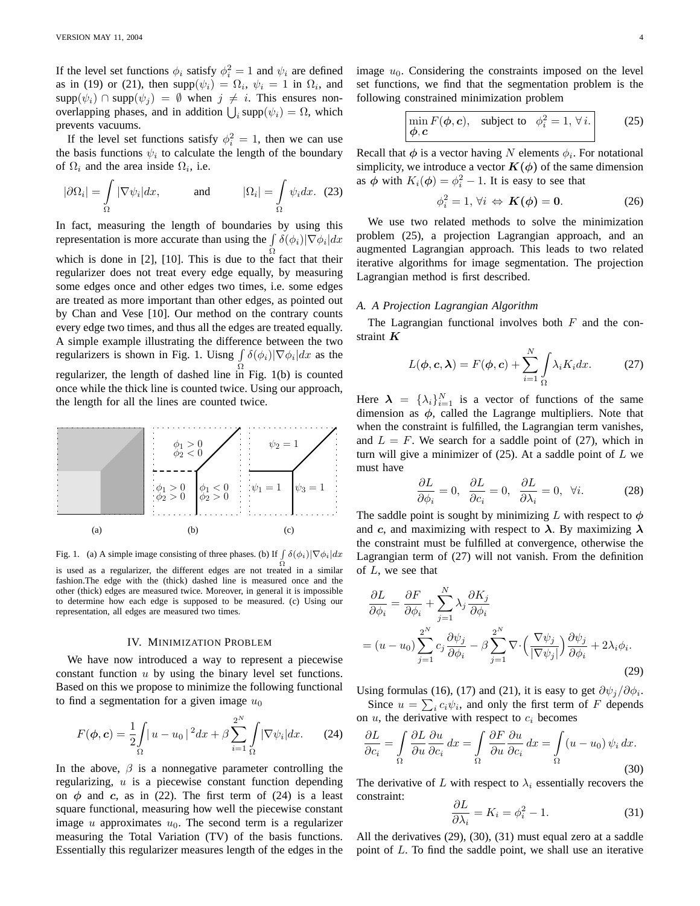If the level set functions  $\phi_i$  satisfy  $\phi_i^2 = 1$  and  $\psi_i$  are defined as in (19) or (21), then  $\text{supp}(\psi_i) = \Omega_i$ ,  $\psi_i = 1$  in  $\Omega_i$ , and  $\text{supp}(\psi_i) \cap \text{supp}(\psi_j) = \emptyset$  when  $j \neq i$ . This ensures nonoverlapping phases, and in addition  $\bigcup_i \text{supp}(\psi_i) = \Omega$ , which prevents vacuums.

If the level set functions satisfy  $\phi_i^2 = 1$ , then we can use the basis functions  $\psi_i$  to calculate the length of the boundary of  $\Omega_i$  and the area inside  $\Omega_i$ , i.e.

$$
|\partial\Omega_i| = \int_{\Omega} |\nabla \psi_i| dx, \quad \text{and} \quad |\Omega_i| = \int_{\Omega} \psi_i dx. (23)
$$

In fact, measuring the length of boundaries by using this representation is more accurate than using the  $\int \delta(\phi_i)|\nabla \phi_i| dx$ which is done in [2], [10]. This is due to the fact that their regularizer does not treat every edge equally, by measuring some edges once and other edges two times, i.e. some edges are treated as more important than other edges, as pointed out by Chan and Vese [10]. Our method on the contrary counts every edge two times, and thus all the edges are treated equally. A simple example illustrating the difference between the two regularizers is shown in Fig. 1. Uisng  $\int \delta(\phi_i)|\nabla \phi_i| dx$  as the regularizer, the length of dashed line in Fig. 1(b) is counted once while the thick line is counted twice. Using our approach, the length for all the lines are counted twice.



Fig. 1. (a) A simple image consisting of three phases. (b) If  $\int \delta(\phi_i)|\nabla \phi_i| dx$ is used as a regularizer, the different edges are not treated in a similar fashion.The edge with the (thick) dashed line is measured once and the other (thick) edges are measured twice. Moreover, in general it is impossible to determine how each edge is supposed to be measured. (c) Using our representation, all edges are measured two times.

### IV. MINIMIZATION PROBLEM

We have now introduced a way to represent a piecewise constant function  $u$  by using the binary level set functions. Based on this we propose to minimize the following functional to find a segmentation for a given image  $u_0$ 

$$
F(\boldsymbol{\phi}, \mathbf{c}) = \frac{1}{2} \int_{\Omega} |u - u_0|^2 dx + \beta \sum_{i=1}^{2^N} \int_{\Omega} |\nabla \psi_i| dx. \tag{24}
$$

In the above,  $\beta$  is a nonnegative parameter controlling the regularizing,  $u$  is a piecewise constant function depending on  $\phi$  and c, as in (22). The first term of (24) is a least square functional, measuring how well the piecewise constant image u approximates  $u_0$ . The second term is a regularizer measuring the Total Variation (TV) of the basis functions. Essentially this regularizer measures length of the edges in the image  $u_0$ . Considering the constraints imposed on the level set functions, we find that the segmentation problem is the following constrained minimization problem

$$
\min_{\boldsymbol{\phi}, \boldsymbol{c}} F(\boldsymbol{\phi}, \boldsymbol{c}), \quad \text{subject to} \quad \phi_i^2 = 1, \forall i. \tag{25}
$$

Recall that  $\phi$  is a vector having N elements  $\phi_i$ . For notational simplicity, we introduce a vector  $K(\phi)$  of the same dimension as  $\phi$  with  $K_i(\phi) = \phi_i^2 - 1$ . It is easy to see that

$$
\phi_i^2 = 1, \forall i \Leftrightarrow \mathbf{K}(\phi) = \mathbf{0}.\tag{26}
$$

We use two related methods to solve the minimization problem (25), a projection Lagrangian approach, and an augmented Lagrangian approach. This leads to two related iterative algorithms for image segmentation. The projection Lagrangian method is first described.

### *A. A Projection Lagrangian Algorithm*

The Lagrangian functional involves both  $F$  and the constraint  $K$ 

$$
L(\phi, \mathbf{c}, \boldsymbol{\lambda}) = F(\phi, \mathbf{c}) + \sum_{i=1}^{N} \int_{\Omega} \lambda_i K_i dx.
$$
 (27)

Here  $\lambda = {\lambda_i}_{i=1}^N$  is a vector of functions of the same dimension as  $\phi$ , called the Lagrange multipliers. Note that when the constraint is fulfilled, the Lagrangian term vanishes, and  $L = F$ . We search for a saddle point of (27), which in turn will give a minimizer of  $(25)$ . At a saddle point of L we must have

$$
\frac{\partial L}{\partial \phi_i} = 0, \quad \frac{\partial L}{\partial c_i} = 0, \quad \frac{\partial L}{\partial \lambda_i} = 0, \quad \forall i. \tag{28}
$$

The saddle point is sought by minimizing L with respect to  $\phi$ and c, and maximizing with respect to  $\lambda$ . By maximizing  $\lambda$ the constraint must be fulfilled at convergence, otherwise the Lagrangian term of (27) will not vanish. From the definition of  $L$ , we see that

$$
\frac{\partial L}{\partial \phi_i} = \frac{\partial F}{\partial \phi_i} + \sum_{j=1}^N \lambda_j \frac{\partial K_j}{\partial \phi_i}
$$
  
=  $(u - u_0) \sum_{j=1}^{2^N} c_j \frac{\partial \psi_j}{\partial \phi_i} - \beta \sum_{j=1}^{2^N} \nabla \cdot \left(\frac{\nabla \psi_j}{|\nabla \psi_j|}\right) \frac{\partial \psi_j}{\partial \phi_i} + 2\lambda_i \phi_i.$  (29)

Using formulas (16), (17) and (21), it is easy to get  $\partial \psi_j / \partial \phi_i$ . Since  $u = \sum_i c_i \psi_i$ , and only the first term of F depends on  $u$ , the derivative with respect to  $c_i$  becomes

$$
\frac{\partial L}{\partial c_i} = \int_{\Omega} \frac{\partial L}{\partial u} \frac{\partial u}{\partial c_i} dx = \int_{\Omega} \frac{\partial F}{\partial u} \frac{\partial u}{\partial c_i} dx = \int_{\Omega} (u - u_0) \psi_i dx.
$$
\n(30)

The derivative of L with respect to  $\lambda_i$  essentially recovers the constraint:  $\Omega$ 

$$
\frac{\partial L}{\partial \lambda_i} = K_i = \phi_i^2 - 1.
$$
 (31)

All the derivatives (29), (30), (31) must equal zero at a saddle point of L. To find the saddle point, we shall use an iterative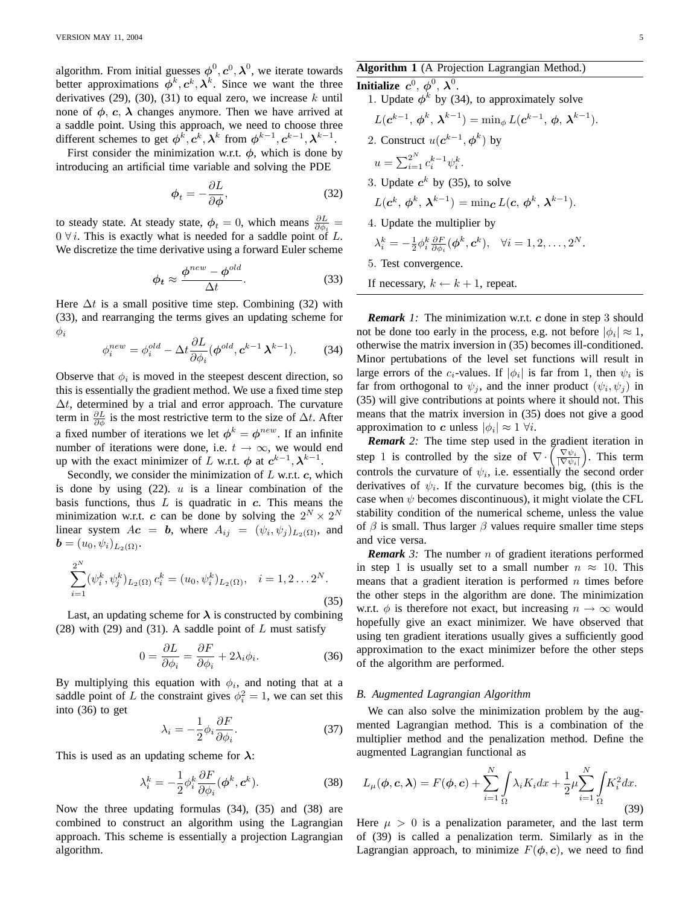algorithm. From initial guesses  $\boldsymbol{\phi}^0, \boldsymbol{c}^0, \boldsymbol{\lambda}^0$ , we iterate towards better approximations  $\dot{\phi}^k, c^k, \lambda^k$ . Since we want the three derivatives (29), (30), (31) to equal zero, we increase  $k$  until none of  $\phi$ ,  $c$ ,  $\lambda$  changes anymore. Then we have arrived at a saddle point. Using this approach, we need to choose three different schemes to get  $\phi^k, c^k, \lambda^k$  from  $\phi^{k-1}, c^{k-1}, \lambda^{k-1}$ .

First consider the minimization w.r.t.  $\phi$ , which is done by introducing an artificial time variable and solving the PDE

$$
\phi_t = -\frac{\partial L}{\partial \phi},\tag{32}
$$

to steady state. At steady state,  $\phi_t = 0$ , which means  $\frac{\partial L}{\partial \phi_i} =$  $0 \forall i$ . This is exactly what is needed for a saddle point of L. We discretize the time derivative using a forward Euler scheme

$$
\phi_t \approx \frac{\phi^{new} - \phi^{old}}{\Delta t}.
$$
\n(33)

Here  $\Delta t$  is a small positive time step. Combining (32) with (33), and rearranging the terms gives an updating scheme for  $\phi_i$ 

$$
\phi_i^{new} = \phi_i^{old} - \Delta t \frac{\partial L}{\partial \phi_i} (\phi^{old}, \mathbf{c}^{k-1} \mathbf{\lambda}^{k-1}). \tag{34}
$$

Observe that  $\phi_i$  is moved in the steepest descent direction, so this is essentially the gradient method. We use a fixed time step  $\Delta t$ , determined by a trial and error approach. The curvature term in  $\frac{\partial L}{\partial \phi}$  is the most restrictive term to the size of  $\Delta t$ . After a fixed number of iterations we let  $\phi^k = \phi^{new}$ . If an infinite number of iterations were done, i.e.  $t \to \infty$ , we would end up with the exact minimizer of L w.r.t.  $\phi$  at  $c^{k-1}$ ,  $\lambda^{k-1}$ .

Secondly, we consider the minimization of  $L$  w.r.t.  $c$ , which is done by using  $(22)$ . u is a linear combination of the basis functions, thus  $L$  is quadratic in  $c$ . This means the minimization w.r.t. c can be done by solving the  $2^N \times 2^N$ linear system  $Ac = b$ , where  $A_{ij} = (\psi_i, \psi_j)_{L_2(\Omega)}$ , and  $\boldsymbol{b} = (u_0, \psi_i)_{L_2(\Omega)}.$ 

$$
\sum_{i=1}^{2^N} (\psi_i^k, \psi_j^k)_{L_2(\Omega)} c_i^k = (u_0, \psi_i^k)_{L_2(\Omega)}, \quad i = 1, 2 \dots 2^N.
$$
\n(35)

Last, an updating scheme for  $\lambda$  is constructed by combining (28) with (29) and (31). A saddle point of  $L$  must satisfy

$$
0 = \frac{\partial L}{\partial \phi_i} = \frac{\partial F}{\partial \phi_i} + 2\lambda_i \phi_i.
$$
 (36)

By multiplying this equation with  $\phi_i$ , and noting that at a saddle point of L the constraint gives  $\phi_i^2 = 1$ , we can set this into (36) to get

$$
\lambda_i = -\frac{1}{2} \phi_i \frac{\partial F}{\partial \phi_i}.
$$
\n(37)

This is used as an updating scheme for  $\lambda$ :

$$
\lambda_i^k = -\frac{1}{2} \phi_i^k \frac{\partial F}{\partial \phi_i} (\phi^k, \mathbf{c}^k).
$$
 (38)

Now the three updating formulas (34), (35) and (38) are combined to construct an algorithm using the Lagrangian approach. This scheme is essentially a projection Lagrangian algorithm.

# **Algorithm 1** (A Projection Lagrangian Method.)

**Initialize**  $c^0$ ,  $\phi^0$ ,  $\lambda^0$ . 1. Update  $\phi^k$  by (34), to approximately solve  $L(e^{k-1}, \phi^k, \lambda^{k-1}) = \min_{\phi} L(e^{k-1}, \phi, \lambda^{k-1}).$ 2. Construct  $u(e^{k-1}, \phi^k)$  by  $u = \sum_{i=1}^{2^N} c_i^{k-1} \psi_i^k.$ 3. Update  $c^k$  by (35), to solve  $L(\boldsymbol{c}^k, \, \boldsymbol{\phi}^k, \, \boldsymbol{\lambda}^{k-1}) = \min_{\boldsymbol{c}} L(\boldsymbol{c}, \, \boldsymbol{\phi}^k, \, \boldsymbol{\lambda}^{k-1}).$ 4. Update the multiplier by  $\lambda_i^k = -\frac{1}{2}\phi_i^k \frac{\partial F}{\partial \phi_i}(\boldsymbol\phi^k, \boldsymbol{c}^k), \quad \forall i = 1, 2, \dots, 2^N.$ 5. Test convergence. If necessary,  $k \leftarrow k + 1$ , repeat.

*Remark 1:* The minimization w.r.t. c done in step 3 should not be done too early in the process, e.g. not before  $|\phi_i| \approx 1$ , otherwise the matrix inversion in (35) becomes ill-conditioned. Minor pertubations of the level set functions will result in large errors of the  $c_i$ -values. If  $|\phi_i|$  is far from 1, then  $\psi_i$  is far from orthogonal to  $\psi_j$ , and the inner product  $(\psi_i, \psi_j)$  in (35) will give contributions at points where it should not. This means that the matrix inversion in (35) does not give a good approximation to c unless  $|\phi_i| \approx 1 \ \forall i$ .

*Remark 2:* The time step used in the gradient iteration in step 1 is controlled by the size of  $\nabla \cdot \left( \frac{\nabla \psi_i}{|\nabla \psi_i|} \right)$ . This term controls the curvature of  $\psi_i$ , i.e. essentially the second order derivatives of  $\psi_i$ . If the curvature becomes big, (this is the case when  $\psi$  becomes discontinuous), it might violate the CFL stability condition of the numerical scheme, unless the value of  $\beta$  is small. Thus larger  $\beta$  values require smaller time steps and vice versa.

*Remark* 3: The number *n* of gradient iterations performed in step 1 is usually set to a small number  $n \approx 10$ . This means that a gradient iteration is performed  $n$  times before the other steps in the algorithm are done. The minimization w.r.t.  $\phi$  is therefore not exact, but increasing  $n \to \infty$  would hopefully give an exact minimizer. We have observed that using ten gradient iterations usually gives a sufficiently good approximation to the exact minimizer before the other steps of the algorithm are performed.

### *B. Augmented Lagrangian Algorithm*

We can also solve the minimization problem by the augmented Lagrangian method. This is a combination of the multiplier method and the penalization method. Define the augmented Lagrangian functional as

$$
L_{\mu}(\boldsymbol{\phi}, \mathbf{c}, \boldsymbol{\lambda}) = F(\boldsymbol{\phi}, \mathbf{c}) + \sum_{i=1}^{N} \int_{\Omega} \lambda_{i} K_{i} dx + \frac{1}{2} \mu \sum_{i=1}^{N} \int_{\Omega} K_{i}^{2} dx.
$$
\n(39)

Here  $\mu > 0$  is a penalization parameter, and the last term of (39) is called a penalization term. Similarly as in the Lagrangian approach, to minimize  $F(\phi, c)$ , we need to find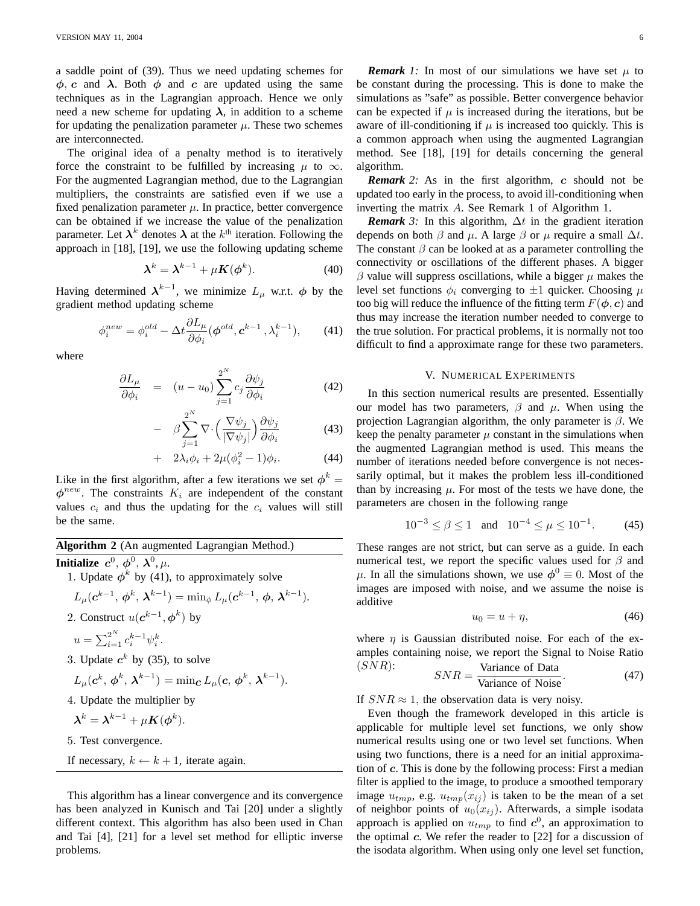a saddle point of (39). Thus we need updating schemes for  $\phi$ , c and  $\lambda$ . Both  $\phi$  and c are updated using the same techniques as in the Lagrangian approach. Hence we only need a new scheme for updating  $\lambda$ , in addition to a scheme for updating the penalization parameter  $\mu$ . These two schemes are interconnected.

The original idea of a penalty method is to iteratively force the constraint to be fulfilled by increasing  $\mu$  to  $\infty$ . For the augmented Lagrangian method, due to the Lagrangian multipliers, the constraints are satisfied even if we use a fixed penalization parameter  $\mu$ . In practice, better convergence can be obtained if we increase the value of the penalization parameter. Let  $\lambda^k$  denotes  $\lambda$  at the  $k^{\text{th}}$  iteration. Following the approach in [18], [19], we use the following updating scheme

$$
\lambda^{k} = \lambda^{k-1} + \mu K(\phi^{k}). \tag{40}
$$

Having determined  $\lambda^{k-1}$ , we minimize  $L_{\mu}$  w.r.t.  $\phi$  by the gradient method updating scheme

$$
\phi_i^{new} = \phi_i^{old} - \Delta t \frac{\partial L_\mu}{\partial \phi_i} (\phi^{old}, \mathbf{c}^{k-1}, \lambda_i^{k-1}), \qquad (41)
$$

where

$$
\frac{\partial L_{\mu}}{\partial \phi_i} = (u - u_0) \sum_{j=1}^{2^N} c_j \frac{\partial \psi_j}{\partial \phi_i}
$$
(42)

$$
- \beta \sum_{j=1}^{2^N} \nabla \cdot \left( \frac{\nabla \psi_j}{|\nabla \psi_j|} \right) \frac{\partial \psi_j}{\partial \phi_i}
$$
(43)

$$
+ 2\lambda_i \phi_i + 2\mu(\phi_i^2 - 1)\phi_i.
$$
 (44)

Like in the first algorithm, after a few iterations we set  $\phi^k =$  $\phi^{new}$ . The constraints  $K_i$  are independent of the constant values  $c_i$  and thus the updating for the  $c_i$  values will still be the same.

| <b>Algorithm 2</b> (An augmented Lagrangian Method.)                                                                                                                           |
|--------------------------------------------------------------------------------------------------------------------------------------------------------------------------------|
| Initialize $c^0$ , $\phi^0$ , $\lambda^0$ , $\mu$ .                                                                                                                            |
| 1. Update $\phi^k$ by (41), to approximately solve                                                                                                                             |
| $L_{\mu}(c^{k-1}, \phi^k, \lambda^{k-1}) = \min_{\phi} L_{\mu}(c^{k-1}, \phi, \lambda^{k-1}).$                                                                                 |
| 2. Construct $u(e^{k-1}, \phi^k)$ by                                                                                                                                           |
| $u = \sum_{i=1}^{2^{N}} c_i^{k-1} \psi_i^k$ .                                                                                                                                  |
| 3. Update $c^k$ by (35), to solve                                                                                                                                              |
| $L_{\mu}(\boldsymbol{c}^k, \boldsymbol{\phi}^k, \boldsymbol{\lambda}^{k-1}) = \min_{\boldsymbol{c}} L_{\mu}(\boldsymbol{c}, \boldsymbol{\phi}^k, \boldsymbol{\lambda}^{k-1}).$ |
| 4. Update the multiplier by                                                                                                                                                    |
| $\lambda^k = \lambda^{k-1} + \mu K(\phi^k).$                                                                                                                                   |

5. Test convergence.

If necessary, 
$$
k \leftarrow k + 1
$$
, iterate again.

This algorithm has a linear convergence and its convergence has been analyzed in Kunisch and Tai [20] under a slightly different context. This algorithm has also been used in Chan and Tai [4], [21] for a level set method for elliptic inverse problems.

*Remark 1:* In most of our simulations we have set  $\mu$  to be constant during the processing. This is done to make the simulations as "safe" as possible. Better convergence behavior can be expected if  $\mu$  is increased during the iterations, but be aware of ill-conditioning if  $\mu$  is increased too quickly. This is a common approach when using the augmented Lagrangian method. See [18], [19] for details concerning the general algorithm.

*Remark* 2: As in the first algorithm, c should not be updated too early in the process, to avoid ill-conditioning when inverting the matrix A. See Remark 1 of Algorithm 1.

*Remark* 3: In this algorithm,  $\Delta t$  in the gradient iteration depends on both  $\beta$  and  $\mu$ . A large  $\beta$  or  $\mu$  require a small  $\Delta t$ . The constant  $\beta$  can be looked at as a parameter controlling the connectivity or oscillations of the different phases. A bigger  $\beta$  value will suppress oscillations, while a bigger  $\mu$  makes the level set functions  $\phi_i$  converging to  $\pm 1$  quicker. Choosing  $\mu$ too big will reduce the influence of the fitting term  $F(\phi, c)$  and thus may increase the iteration number needed to converge to the true solution. For practical problems, it is normally not too difficult to find a approximate range for these two parameters.

# V. NUMERICAL EXPERIMENTS

In this section numerical results are presented. Essentially our model has two parameters,  $\beta$  and  $\mu$ . When using the projection Lagrangian algorithm, the only parameter is  $\beta$ . We keep the penalty parameter  $\mu$  constant in the simulations when the augmented Lagrangian method is used. This means the number of iterations needed before convergence is not necessarily optimal, but it makes the problem less ill-conditioned than by increasing  $\mu$ . For most of the tests we have done, the parameters are chosen in the following range

$$
10^{-3} \le \beta \le 1
$$
 and  $10^{-4} \le \mu \le 10^{-1}$ . (45)

These ranges are not strict, but can serve as a guide. In each numerical test, we report the specific values used for  $\beta$  and  $\mu$ . In all the simulations shown, we use  $\phi^0 \equiv 0$ . Most of the images are imposed with noise, and we assume the noise is additive

$$
u_0 = u + \eta,\tag{46}
$$

where  $\eta$  is Gaussian distributed noise. For each of the examples containing noise, we report the Signal to Noise Ratio

(SNR): 
$$
SNR = \frac{\text{Variance of Data}}{\text{Variance of Noise}}.
$$
 (47)

If  $SNR \approx 1$ , the observation data is very noisy.

Even though the framework developed in this article is applicable for multiple level set functions, we only show numerical results using one or two level set functions. When using two functions, there is a need for an initial approximation of c. This is done by the following process: First a median filter is applied to the image, to produce a smoothed temporary image  $u_{tmp}$ , e.g.  $u_{tmp}(x_{ij})$  is taken to be the mean of a set of neighbor points of  $u_0(x_{ij})$ . Afterwards, a simple isodata approach is applied on  $u_{tmp}$  to find  $c^0$ , an approximation to the optimal  $c$ . We refer the reader to  $[22]$  for a discussion of the isodata algorithm. When using only one level set function,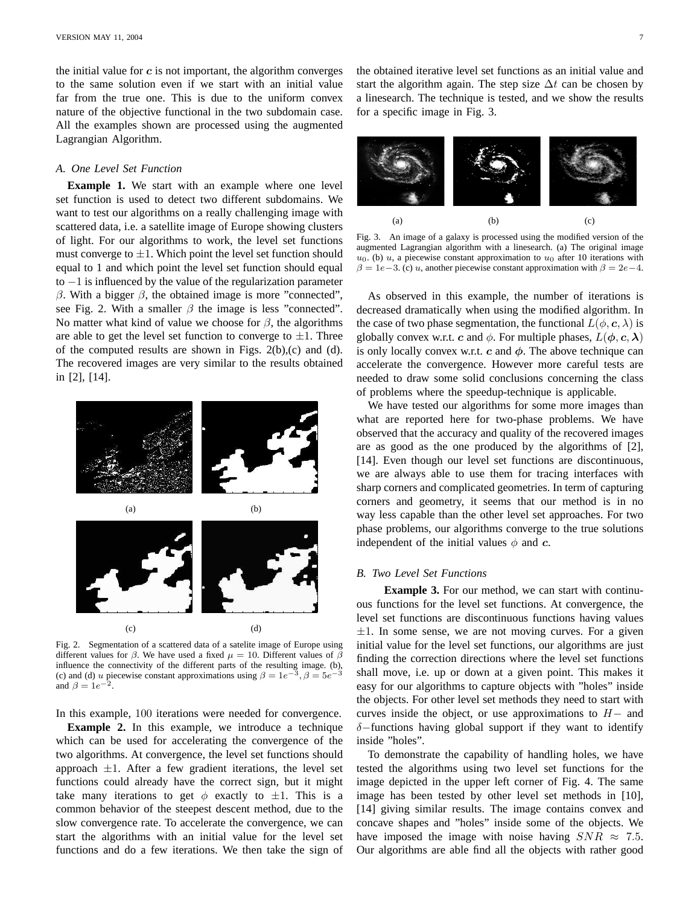the initial value for  $c$  is not important, the algorithm converges to the same solution even if we start with an initial value far from the true one. This is due to the uniform convex nature of the objective functional in the two subdomain case. All the examples shown are processed using the augmented Lagrangian Algorithm.

# *A. One Level Set Function*

**Example 1.** We start with an example where one level set function is used to detect two different subdomains. We want to test our algorithms on a really challenging image with scattered data, i.e. a satellite image of Europe showing clusters of light. For our algorithms to work, the level set functions must converge to  $\pm 1$ . Which point the level set function should equal to 1 and which point the level set function should equal to  $-1$  is influenced by the value of the regularization parameter β. With a bigger  $β$ , the obtained image is more "connected", see Fig. 2. With a smaller  $\beta$  the image is less "connected". No matter what kind of value we choose for  $\beta$ , the algorithms are able to get the level set function to converge to  $\pm 1$ . Three of the computed results are shown in Figs.  $2(b)$ , (c) and (d). The recovered images are very similar to the results obtained in [2], [14].



Fig. 2. Segmentation of a scattered data of a satelite image of Europe using different values for  $\beta$ . We have used a fixed  $\mu = 10$ . Different values of  $\beta$ influence the connectivity of the different parts of the resulting image. (b), (c) and (d) u piecewise constant approximations using  $\beta = 1e^{-3}$ ,  $\beta = 5e^{-3}$ and  $\beta = 1e^{-2}$ .

In this example, 100 iterations were needed for convergence.

**Example 2.** In this example, we introduce a technique which can be used for accelerating the convergence of the two algorithms. At convergence, the level set functions should approach  $\pm 1$ . After a few gradient iterations, the level set functions could already have the correct sign, but it might take many iterations to get  $\phi$  exactly to  $\pm 1$ . This is a common behavior of the steepest descent method, due to the slow convergence rate. To accelerate the convergence, we can start the algorithms with an initial value for the level set functions and do a few iterations. We then take the sign of the obtained iterative level set functions as an initial value and start the algorithm again. The step size  $\Delta t$  can be chosen by a linesearch. The technique is tested, and we show the results for a specific image in Fig. 3.



Fig. 3. An image of a galaxy is processed using the modified version of the augmented Lagrangian algorithm with a linesearch. (a) The original image  $u_0$ . (b) u, a piecewise constant approximation to  $u_0$  after 10 iterations with  $\beta = 1e-3$ . (c) u, another piecewise constant approximation with  $\beta = 2e-4$ .

As observed in this example, the number of iterations is decreased dramatically when using the modified algorithm. In the case of two phase segmentation, the functional  $L(\phi, \mathbf{c}, \lambda)$  is globally convex w.r.t. c and  $\phi$ . For multiple phases,  $L(\phi, c, \lambda)$ is only locally convex w.r.t.  $c$  and  $\phi$ . The above technique can accelerate the convergence. However more careful tests are needed to draw some solid conclusions concerning the class of problems where the speedup-technique is applicable.

We have tested our algorithms for some more images than what are reported here for two-phase problems. We have observed that the accuracy and quality of the recovered images are as good as the one produced by the algorithms of [2], [14]. Even though our level set functions are discontinuous, we are always able to use them for tracing interfaces with sharp corners and complicated geometries. In term of capturing corners and geometry, it seems that our method is in no way less capable than the other level set approaches. For two phase problems, our algorithms converge to the true solutions independent of the initial values  $\phi$  and c.

# *B. Two Level Set Functions*

**Example 3.** For our method, we can start with continuous functions for the level set functions. At convergence, the level set functions are discontinuous functions having values  $\pm 1$ . In some sense, we are not moving curves. For a given initial value for the level set functions, our algorithms are just finding the correction directions where the level set functions shall move, i.e. up or down at a given point. This makes it easy for our algorithms to capture objects with "holes" inside the objects. For other level set methods they need to start with curves inside the object, or use approximations to  $H-$  and  $\delta$ −functions having global support if they want to identify inside "holes".

To demonstrate the capability of handling holes, we have tested the algorithms using two level set functions for the image depicted in the upper left corner of Fig. 4. The same image has been tested by other level set methods in [10], [14] giving similar results. The image contains convex and concave shapes and "holes" inside some of the objects. We have imposed the image with noise having  $SNR \approx 7.5$ . Our algorithms are able find all the objects with rather good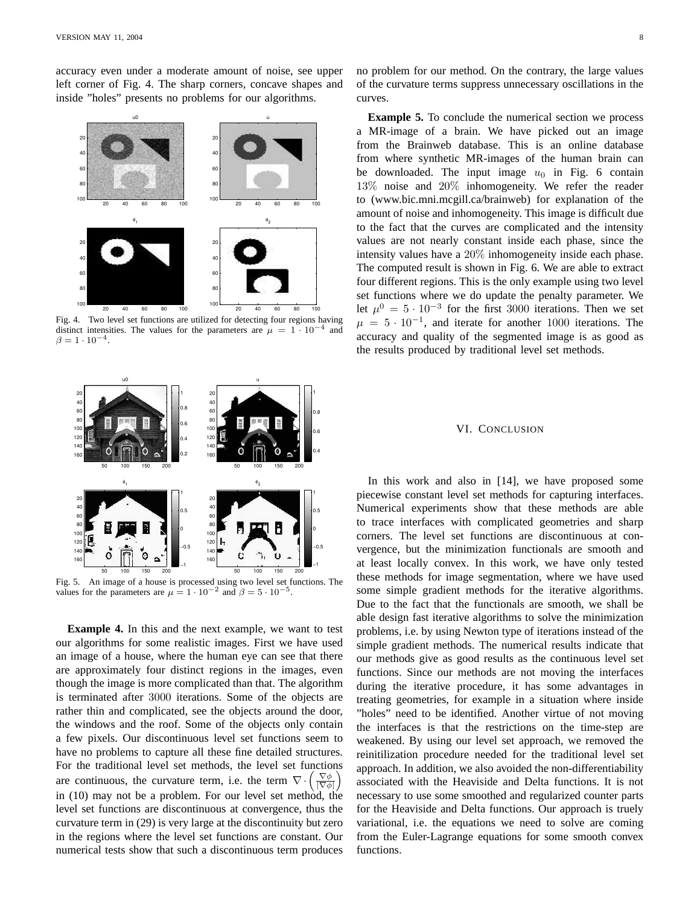accuracy even under a moderate amount of noise, see upper left corner of Fig. 4. The sharp corners, concave shapes and inside "holes" presents no problems for our algorithms.



Fig. 4. Two level set functions are utilized for detecting four regions having distinct intensities. The values for the parameters are  $\mu = 1 \cdot 10^{-4}$  and  $\beta = 1 \cdot 10^{-4}.$ 



Fig. 5. An image of a house is processed using two level set functions. The values for the parameters are  $\mu = 1 \cdot 10^{-2}$  and  $\beta = 5 \cdot 10^{-5}$ .

**Example 4.** In this and the next example, we want to test our algorithms for some realistic images. First we have used an image of a house, where the human eye can see that there are approximately four distinct regions in the images, even though the image is more complicated than that. The algorithm is terminated after 3000 iterations. Some of the objects are rather thin and complicated, see the objects around the door, the windows and the roof. Some of the objects only contain a few pixels. Our discontinuous level set functions seem to have no problems to capture all these fine detailed structures. For the traditional level set methods, the level set functions are continuous, the curvature term, i.e. the term  $\nabla \cdot \left(\frac{\nabla \phi}{|\nabla \phi|}\right)$ in (10) may not be a problem. For our level set method, the level set functions are discontinuous at convergence, thus the curvature term in (29) is very large at the discontinuity but zero in the regions where the level set functions are constant. Our numerical tests show that such a discontinuous term produces

no problem for our method. On the contrary, the large values of the curvature terms suppress unnecessary oscillations in the curves.

**Example 5.** To conclude the numerical section we process a MR-image of a brain. We have picked out an image from the Brainweb database. This is an online database from where synthetic MR-images of the human brain can be downloaded. The input image  $u_0$  in Fig. 6 contain 13% noise and 20% inhomogeneity. We refer the reader to (www.bic.mni.mcgill.ca/brainweb) for explanation of the amount of noise and inhomogeneity. This image is difficult due to the fact that the curves are complicated and the intensity values are not nearly constant inside each phase, since the intensity values have a 20% inhomogeneity inside each phase. The computed result is shown in Fig. 6. We are able to extract four different regions. This is the only example using two level set functions where we do update the penalty parameter. We let  $\mu^0 = 5 \cdot 10^{-3}$  for the first 3000 iterations. Then we set  $\mu = 5 \cdot 10^{-1}$ , and iterate for another 1000 iterations. The accuracy and quality of the segmented image is as good as the results produced by traditional level set methods.

# VI. CONCLUSION

In this work and also in [14], we have proposed some piecewise constant level set methods for capturing interfaces. Numerical experiments show that these methods are able to trace interfaces with complicated geometries and sharp corners. The level set functions are discontinuous at convergence, but the minimization functionals are smooth and at least locally convex. In this work, we have only tested these methods for image segmentation, where we have used some simple gradient methods for the iterative algorithms. Due to the fact that the functionals are smooth, we shall be able design fast iterative algorithms to solve the minimization problems, i.e. by using Newton type of iterations instead of the simple gradient methods. The numerical results indicate that our methods give as good results as the continuous level set functions. Since our methods are not moving the interfaces during the iterative procedure, it has some advantages in treating geometries, for example in a situation where inside "holes" need to be identified. Another virtue of not moving the interfaces is that the restrictions on the time-step are weakened. By using our level set approach, we removed the reinitilization procedure needed for the traditional level set approach. In addition, we also avoided the non-differentiability associated with the Heaviside and Delta functions. It is not necessary to use some smoothed and regularized counter parts for the Heaviside and Delta functions. Our approach is truely variational, i.e. the equations we need to solve are coming from the Euler-Lagrange equations for some smooth convex functions.